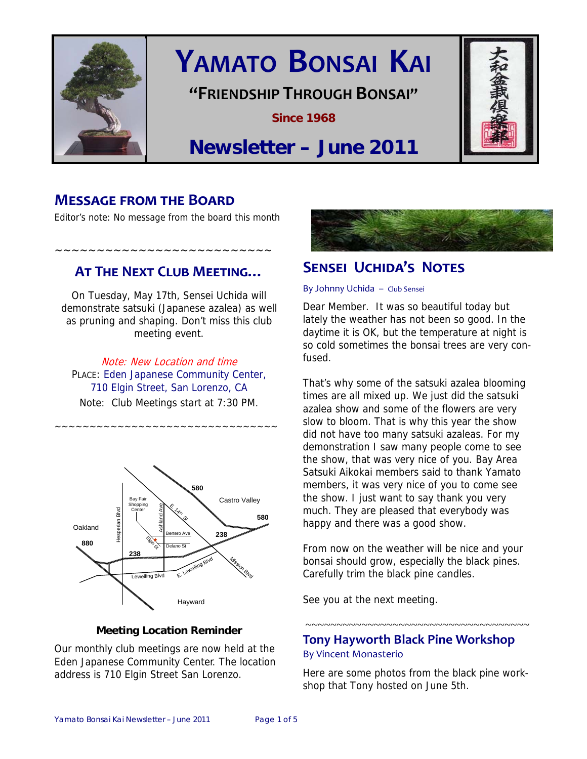

# **YAMATO BONSAI KAI**

## **"FRIENDSHIP THROUGH BONSAI"**

**Since 1968** 



## **Newsletter – June 2011**

## **MESSAGE FROM THE BOARD**

Editor's note: No message from the board this month

~~~~~~~~~~~~~~~~~~~~~~~~~~

## **AT THE NEXT CLUB MEETING…**

On Tuesday, May 17th, Sensei Uchida will demonstrate satsuki (Japanese azalea) as well as pruning and shaping. Don't miss this club meeting event.

Note: New Location and time PLACE: Eden Japanese Community Center, 710 Elgin Street, San Lorenzo, CA Note: Club Meetings start at 7:30 PM.

~~~~~~~~~~~~~~~~~~~~~~~~~~~~~~~~



#### **Meeting Location Reminder**

Our monthly club meetings are now held at the Eden Japanese Community Center. The location address is 710 Elgin Street San Lorenzo.



## **SENSEI UCHIDA'S NOTES**

#### By Johnny Uchida – Club Sensei

Dear Member. It was so beautiful today but lately the weather has not been so good. In the daytime it is OK, but the temperature at night is so cold sometimes the bonsai trees are very confused.

That's why some of the satsuki azalea blooming times are all mixed up. We just did the satsuki azalea show and some of the flowers are very slow to bloom. That is why this year the show did not have too many satsuki azaleas. For my demonstration I saw many people come to see the show, that was very nice of you. Bay Area Satsuki Aikokai members said to thank Yamato members, it was very nice of you to come see the show. I just want to say thank you very much. They are pleased that everybody was happy and there was a good show.

From now on the weather will be nice and your bonsai should grow, especially the black pines. Carefully trim the black pine candles.

See you at the next meeting.

### **Tony Hayworth Black Pine Workshop** By Vincent Monasterio

~~~~~~~~~~~~~~~~~~~~~~~~~~~~~~~~~~~~~

Here are some photos from the black pine workshop that Tony hosted on June 5th.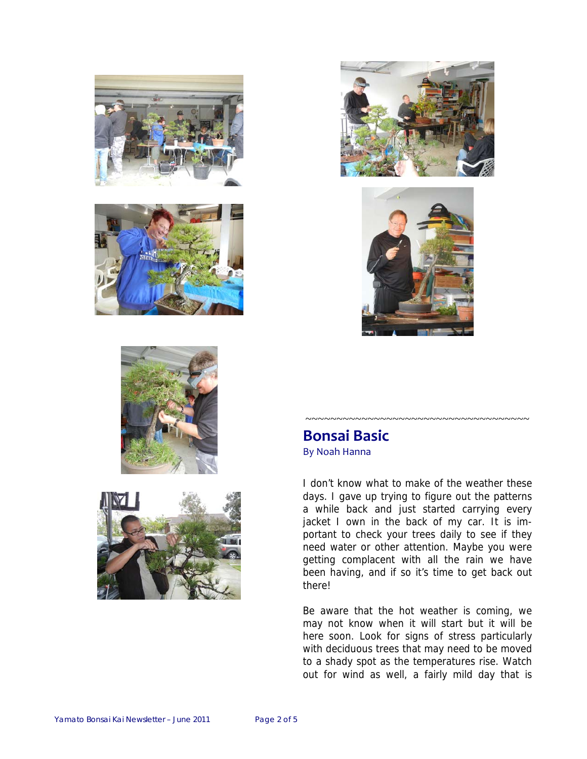











## **Bonsai Basic**  By Noah Hanna

I don't know what to make of the weather these days. I gave up trying to figure out the patterns a while back and just started carrying every jacket I own in the back of my car. It is important to check your trees daily to see if they need water or other attention. Maybe you were getting complacent with all the rain we have been having, and if so it's time to get back out there!

~~~~~~~~~~~~~~~~~~~~~~~~~~~~~~~~~~~~

Be aware that the hot weather is coming, we may not know when it will start but it will be here soon. Look for signs of stress particularly with deciduous trees that may need to be moved to a shady spot as the temperatures rise. Watch out for wind as well, a fairly mild day that is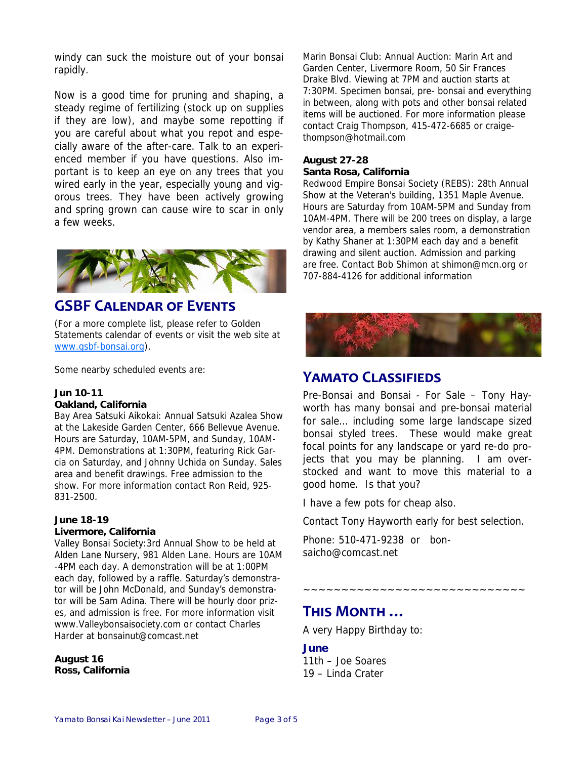windy can suck the moisture out of your bonsai rapidly.

Now is a good time for pruning and shaping, a steady regime of fertilizing (stock up on supplies if they are low), and maybe some repotting if you are careful about what you repot and especially aware of the after-care. Talk to an experienced member if you have questions. Also important is to keep an eye on any trees that you wired early in the year, especially young and vigorous trees. They have been actively growing and spring grown can cause wire to scar in only a few weeks.



## **GSBF CALENDAR OF EVENTS**

(For a more complete list, please refer to Golden Statements calendar of events or visit the web site at www.gsbf-bonsai.org).

Some nearby scheduled events are:

#### **Jun 10-11**

#### **Oakland, California**

Bay Area Satsuki Aikokai: Annual Satsuki Azalea Show at the Lakeside Garden Center, 666 Bellevue Avenue. Hours are Saturday, 10AM-5PM, and Sunday, 10AM-4PM. Demonstrations at 1:30PM, featuring Rick Garcia on Saturday, and Johnny Uchida on Sunday. Sales area and benefit drawings. Free admission to the show. For more information contact Ron Reid, 925- 831-2500.

#### **June 18-19**

#### **Livermore, California**

Valley Bonsai Society:3rd Annual Show to be held at Alden Lane Nursery, 981 Alden Lane. Hours are 10AM -4PM each day. A demonstration will be at 1:00PM each day, followed by a raffle. Saturday's demonstrator will be John McDonald, and Sunday's demonstrator will be Sam Adina. There will be hourly door prizes, and admission is free. For more information visit www.Valleybonsaisociety.com or contact Charles Harder at bonsainut@comcast.net

**August 16 Ross, California**  Marin Bonsai Club: Annual Auction: Marin Art and Garden Center, Livermore Room, 50 Sir Frances Drake Blvd. Viewing at 7PM and auction starts at 7:30PM. Specimen bonsai, pre- bonsai and everything in between, along with pots and other bonsai related items will be auctioned. For more information please contact Craig Thompson, 415-472-6685 or craigethompson@hotmail.com

#### **August 27-28 Santa Rosa, California**

Redwood Empire Bonsai Society (REBS): 28th Annual Show at the Veteran's building, 1351 Maple Avenue. Hours are Saturday from 10AM-5PM and Sunday from 10AM-4PM. There will be 200 trees on display, a large vendor area, a members sales room, a demonstration by Kathy Shaner at 1:30PM each day and a benefit drawing and silent auction. Admission and parking are free. Contact Bob Shimon at shimon@mcn.org or 707-884-4126 for additional information



## **YAMATO CLASSIFIEDS**

Pre-Bonsai and Bonsai - For Sale – Tony Hayworth has many bonsai and pre-bonsai material for sale… including some large landscape sized bonsai styled trees. These would make great focal points for any landscape or yard re-do projects that you may be planning. I am overstocked and want to move this material to a good home. Is that you?

I have a few pots for cheap also.

Contact Tony Hayworth early for best selection.

~~~~~~~~~~~~~~~~~~~~~~~~~~

Phone: 510-471-9238 or bonsaicho@comcast.net

## **THIS MONTH …**

A very Happy Birthday to:

#### **June**

11th – Joe Soares 19 – Linda Crater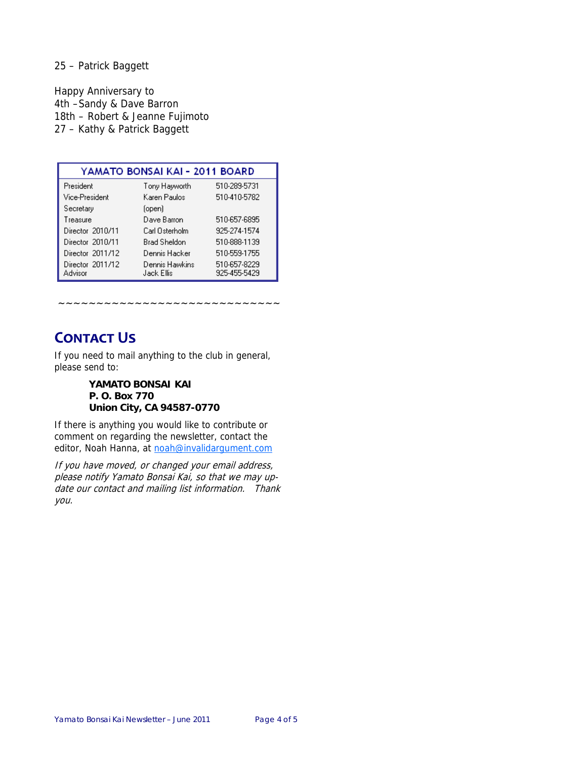#### 25 – Patrick Baggett

Happy Anniversary to 4th –Sandy & Dave Barron 18th – Robert & Jeanne Fujimoto 27 – Kathy & Patrick Baggett

| YAMATO BONSAI KAI - 2011 BOARD |                               |                              |
|--------------------------------|-------------------------------|------------------------------|
| President                      | Tony Hayworth                 | 510-289-5731                 |
| Vice-President                 | Karen Paulos                  | 510-410-5782                 |
| Secretary                      | (open)                        |                              |
| Treasure                       | Dave Barron                   | 510-657-6895                 |
| Director 2010/11               | Carl Osterholm                | 925-274-1574                 |
| Director 2010/11               | Brad Sheldon                  | 510-888-1139                 |
| Director 2011/12               | Dennis Hacker                 | 510-559-1755                 |
| Director 2011/12<br>Advisor    | Dennis Hawkins<br>Jack Ellis. | 510-657-8229<br>925-455-5429 |

~~~~~~~~~~~~~~~~~~~~~~~~

## **CONTACT US**

If you need to mail anything to the club in general, please send to:

#### **YAMATO BONSAI KAI P. O. Box 770 Union City, CA 94587-0770**

If there is anything you would like to contribute or comment on regarding the newsletter, contact the editor, Noah Hanna, at noah@invalidargument.com

If you have moved, or changed your email address, please notify Yamato Bonsai Kai, so that we may update our contact and mailing list information. Thank you.